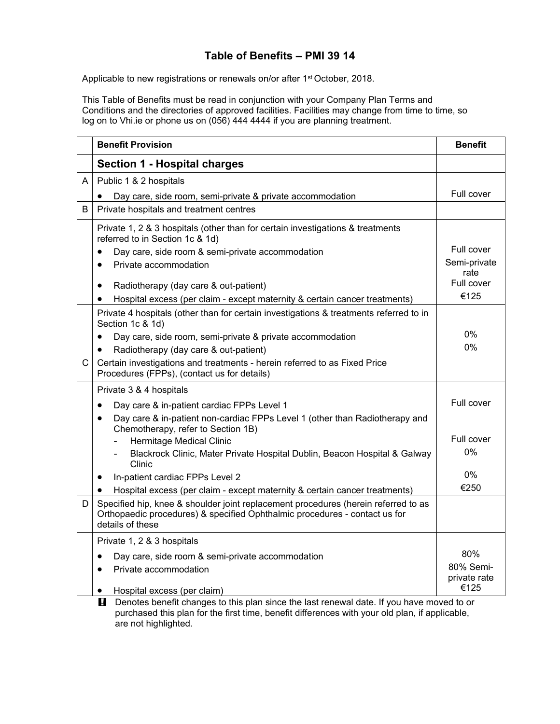## **Table of Benefits – PMI 39 14**

Applicable to new registrations or renewals on/or after 1<sup>st</sup> October, 2018.

This Table of Benefits must be read in conjunction with your Company Plan Terms and Conditions and the directories of approved facilities. Facilities may change from time to time, so log on to Vhi.ie or phone us on (056) 444 4444 if you are planning treatment.

|   | <b>Benefit Provision</b>                                                                                                                                                             | <b>Benefit</b>            |
|---|--------------------------------------------------------------------------------------------------------------------------------------------------------------------------------------|---------------------------|
|   | <b>Section 1 - Hospital charges</b>                                                                                                                                                  |                           |
| Α | Public 1 & 2 hospitals                                                                                                                                                               |                           |
|   | Day care, side room, semi-private & private accommodation                                                                                                                            | Full cover                |
| B | Private hospitals and treatment centres                                                                                                                                              |                           |
|   | Private 1, 2 & 3 hospitals (other than for certain investigations & treatments<br>referred to in Section 1c & 1d)                                                                    |                           |
|   | Day care, side room & semi-private accommodation<br>$\bullet$                                                                                                                        | Full cover                |
|   | Private accommodation<br>$\bullet$                                                                                                                                                   | Semi-private<br>rate      |
|   | Radiotherapy (day care & out-patient)<br>$\bullet$                                                                                                                                   | Full cover                |
|   | Hospital excess (per claim - except maternity & certain cancer treatments)                                                                                                           | €125                      |
|   | Private 4 hospitals (other than for certain investigations & treatments referred to in<br>Section 1c & 1d)                                                                           |                           |
|   | Day care, side room, semi-private & private accommodation<br>$\bullet$                                                                                                               | 0%                        |
|   | Radiotherapy (day care & out-patient)                                                                                                                                                | 0%                        |
| C | Certain investigations and treatments - herein referred to as Fixed Price<br>Procedures (FPPs), (contact us for details)                                                             |                           |
|   | Private 3 & 4 hospitals                                                                                                                                                              |                           |
|   | Day care & in-patient cardiac FPPs Level 1                                                                                                                                           | Full cover                |
|   | Day care & in-patient non-cardiac FPPs Level 1 (other than Radiotherapy and<br>Chemotherapy, refer to Section 1B)                                                                    |                           |
|   | Hermitage Medical Clinic                                                                                                                                                             | Full cover                |
|   | Blackrock Clinic, Mater Private Hospital Dublin, Beacon Hospital & Galway<br>Clinic                                                                                                  | 0%                        |
|   | In-patient cardiac FPPs Level 2<br>٠                                                                                                                                                 | $0\%$                     |
|   | Hospital excess (per claim - except maternity & certain cancer treatments)                                                                                                           | €250                      |
| D | Specified hip, knee & shoulder joint replacement procedures (herein referred to as<br>Orthopaedic procedures) & specified Ophthalmic procedures - contact us for<br>details of these |                           |
|   | Private 1, 2 & 3 hospitals                                                                                                                                                           |                           |
|   | Day care, side room & semi-private accommodation<br>$\bullet$                                                                                                                        | 80%                       |
|   | Private accommodation<br>$\bullet$                                                                                                                                                   | 80% Semi-<br>private rate |
|   | Hospital excess (per claim)<br>п<br>Depates benefit ebenges to this plan since the lost repoved data. If you have moved to or                                                        | €125                      |

**E** Denotes benefit changes to this plan since the last renewal date. If you have moved to or purchased this plan for the first time, benefit differences with your old plan, if applicable, are not highlighted.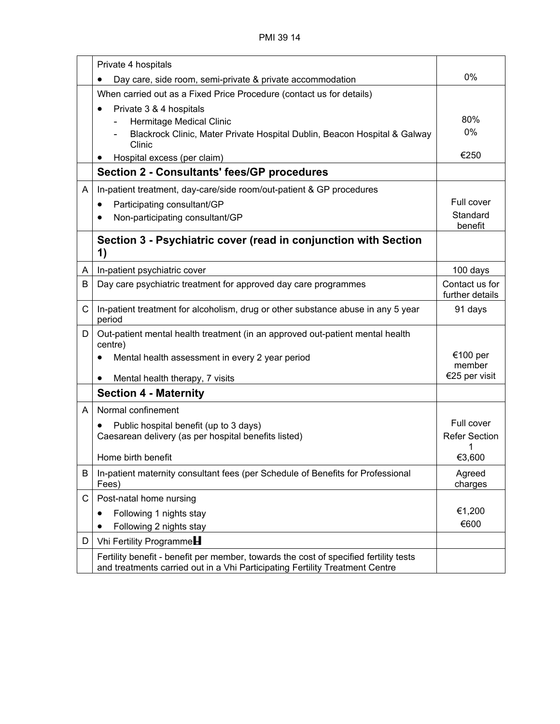|              | Private 4 hospitals                                                                                                                                                   |                                     |
|--------------|-----------------------------------------------------------------------------------------------------------------------------------------------------------------------|-------------------------------------|
|              | Day care, side room, semi-private & private accommodation<br>٠                                                                                                        | 0%                                  |
|              | When carried out as a Fixed Price Procedure (contact us for details)                                                                                                  |                                     |
|              | Private 3 & 4 hospitals<br>$\bullet$<br>Hermitage Medical Clinic<br>Blackrock Clinic, Mater Private Hospital Dublin, Beacon Hospital & Galway<br>Clinic               | 80%<br>$0\%$                        |
|              | Hospital excess (per claim)                                                                                                                                           | €250                                |
|              | <b>Section 2 - Consultants' fees/GP procedures</b>                                                                                                                    |                                     |
| A            | In-patient treatment, day-care/side room/out-patient & GP procedures                                                                                                  |                                     |
|              | Participating consultant/GP<br>$\bullet$                                                                                                                              | Full cover                          |
|              | Non-participating consultant/GP<br>$\bullet$                                                                                                                          | Standard<br>benefit                 |
|              | Section 3 - Psychiatric cover (read in conjunction with Section<br>1)                                                                                                 |                                     |
| A            | In-patient psychiatric cover                                                                                                                                          | 100 days                            |
| B            | Day care psychiatric treatment for approved day care programmes                                                                                                       | Contact us for<br>further details   |
| $\mathsf{C}$ | In-patient treatment for alcoholism, drug or other substance abuse in any 5 year<br>period                                                                            | 91 days                             |
| D.           | Out-patient mental health treatment (in an approved out-patient mental health<br>centre)<br>Mental health assessment in every 2 year period                           | €100 per<br>member<br>€25 per visit |
|              | Mental health therapy, 7 visits                                                                                                                                       |                                     |
|              | <b>Section 4 - Maternity</b>                                                                                                                                          |                                     |
| A            | Normal confinement                                                                                                                                                    |                                     |
|              | Public hospital benefit (up to 3 days)<br>$\bullet$<br>Caesarean delivery (as per hospital benefits listed)                                                           | Full cover<br><b>Refer Section</b>  |
|              | Home birth benefit                                                                                                                                                    | €3,600                              |
| B            | In-patient maternity consultant fees (per Schedule of Benefits for Professional<br>Fees)                                                                              | Agreed<br>charges                   |
| C            | Post-natal home nursing                                                                                                                                               |                                     |
|              | Following 1 nights stay<br>٠                                                                                                                                          | €1,200                              |
|              | Following 2 nights stay                                                                                                                                               | €600                                |
| D            | Vhi Fertility Programme                                                                                                                                               |                                     |
|              | Fertility benefit - benefit per member, towards the cost of specified fertility tests<br>and treatments carried out in a Vhi Participating Fertility Treatment Centre |                                     |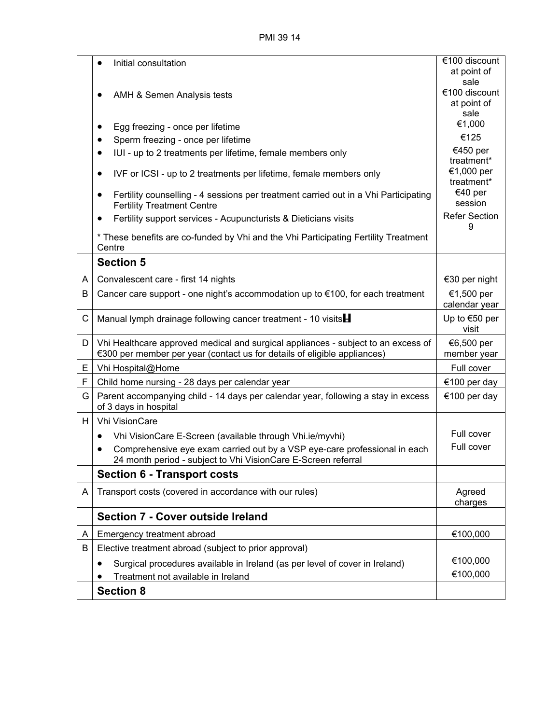|   | Initial consultation<br>$\bullet$                                                                                                                             | €100 discount               |
|---|---------------------------------------------------------------------------------------------------------------------------------------------------------------|-----------------------------|
|   |                                                                                                                                                               | at point of<br>sale         |
|   |                                                                                                                                                               | €100 discount               |
|   | AMH & Semen Analysis tests                                                                                                                                    | at point of                 |
|   |                                                                                                                                                               | sale                        |
|   | Egg freezing - once per lifetime<br>$\bullet$                                                                                                                 | €1,000                      |
|   | Sperm freezing - once per lifetime<br>٠                                                                                                                       | €125                        |
|   | IUI - up to 2 treatments per lifetime, female members only<br>$\bullet$                                                                                       | €450 per<br>treatment*      |
|   | IVF or ICSI - up to 2 treatments per lifetime, female members only<br>$\bullet$                                                                               | €1,000 per<br>treatment*    |
|   | Fertility counselling - 4 sessions per treatment carried out in a Vhi Participating<br>$\bullet$<br><b>Fertility Treatment Centre</b>                         | €40 per<br>session          |
|   | Fertility support services - Acupuncturists & Dieticians visits<br>$\bullet$                                                                                  | <b>Refer Section</b><br>9   |
|   | * These benefits are co-funded by Vhi and the Vhi Participating Fertility Treatment<br>Centre                                                                 |                             |
|   | <b>Section 5</b>                                                                                                                                              |                             |
| A | Convalescent care - first 14 nights                                                                                                                           | €30 per night               |
| B | Cancer care support - one night's accommodation up to €100, for each treatment                                                                                | €1,500 per<br>calendar year |
| С | Manual lymph drainage following cancer treatment - 10 visits                                                                                                  | Up to $€50$ per<br>visit    |
| D | Vhi Healthcare approved medical and surgical appliances - subject to an excess of<br>€300 per member per year (contact us for details of eligible appliances) | €6,500 per<br>member year   |
| Е | Vhi Hospital@Home                                                                                                                                             | Full cover                  |
| F | Child home nursing - 28 days per calendar year                                                                                                                | €100 per day                |
| G | Parent accompanying child - 14 days per calendar year, following a stay in excess<br>of 3 days in hospital                                                    | €100 per day                |
| H | <b>Vhi VisionCare</b>                                                                                                                                         |                             |
|   | Vhi VisionCare E-Screen (available through Vhi.ie/myvhi)<br>٠                                                                                                 | Full cover                  |
|   | Comprehensive eye exam carried out by a VSP eye-care professional in each<br>24 month period - subject to Vhi VisionCare E-Screen referral                    | Full cover                  |
|   | <b>Section 6 - Transport costs</b>                                                                                                                            |                             |
| A | Transport costs (covered in accordance with our rules)                                                                                                        | Agreed<br>charges           |
|   | <b>Section 7 - Cover outside Ireland</b>                                                                                                                      |                             |
| A | Emergency treatment abroad                                                                                                                                    | €100,000                    |
| В | Elective treatment abroad (subject to prior approval)                                                                                                         |                             |
|   | Surgical procedures available in Ireland (as per level of cover in Ireland)<br>٠                                                                              | €100,000                    |
|   | Treatment not available in Ireland                                                                                                                            | €100,000                    |
|   | <b>Section 8</b>                                                                                                                                              |                             |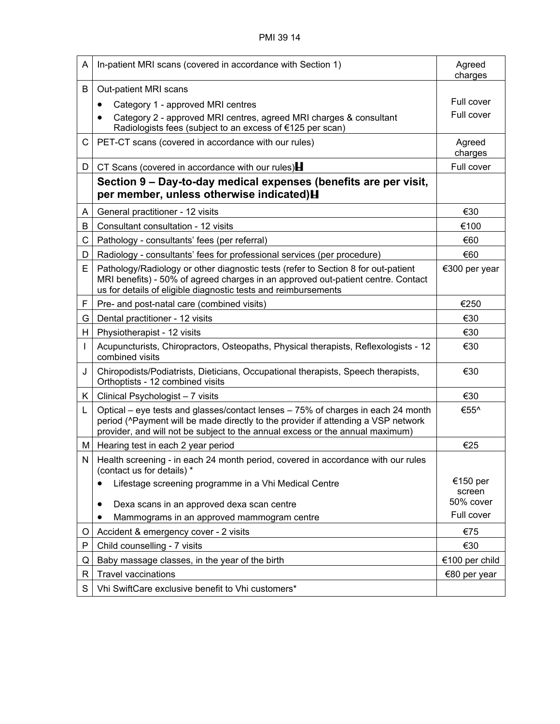| A  | In-patient MRI scans (covered in accordance with Section 1)                                                                                                                                                                                            | Agreed<br>charges  |
|----|--------------------------------------------------------------------------------------------------------------------------------------------------------------------------------------------------------------------------------------------------------|--------------------|
| B  | Out-patient MRI scans                                                                                                                                                                                                                                  |                    |
|    | Category 1 - approved MRI centres<br>$\bullet$                                                                                                                                                                                                         | Full cover         |
|    | Category 2 - approved MRI centres, agreed MRI charges & consultant<br>Radiologists fees (subject to an excess of €125 per scan)                                                                                                                        | Full cover         |
| C. | PET-CT scans (covered in accordance with our rules)                                                                                                                                                                                                    | Agreed<br>charges  |
| D  | CT Scans (covered in accordance with our rules) $\blacksquare$                                                                                                                                                                                         | Full cover         |
|    | Section 9 – Day-to-day medical expenses (benefits are per visit,<br>per member, unless otherwise indicated) H                                                                                                                                          |                    |
| A  | General practitioner - 12 visits                                                                                                                                                                                                                       | €30                |
| B  | Consultant consultation - 12 visits                                                                                                                                                                                                                    | €100               |
| C. | Pathology - consultants' fees (per referral)                                                                                                                                                                                                           | €60                |
| D  | Radiology - consultants' fees for professional services (per procedure)                                                                                                                                                                                | €60                |
| E. | Pathology/Radiology or other diagnostic tests (refer to Section 8 for out-patient<br>MRI benefits) - 50% of agreed charges in an approved out-patient centre. Contact<br>us for details of eligible diagnostic tests and reimbursements                | €300 per year      |
| F  | Pre- and post-natal care (combined visits)                                                                                                                                                                                                             | €250               |
| G  | Dental practitioner - 12 visits                                                                                                                                                                                                                        | €30                |
| H  | Physiotherapist - 12 visits                                                                                                                                                                                                                            | €30                |
|    | Acupuncturists, Chiropractors, Osteopaths, Physical therapists, Reflexologists - 12<br>combined visits                                                                                                                                                 | €30                |
| J  | Chiropodists/Podiatrists, Dieticians, Occupational therapists, Speech therapists,<br>Orthoptists - 12 combined visits                                                                                                                                  | €30                |
| K. | Clinical Psychologist - 7 visits                                                                                                                                                                                                                       | €30                |
| L  | Optical – eye tests and glasses/contact lenses – 75% of charges in each 24 month<br>period (^Payment will be made directly to the provider if attending a VSP network<br>provider, and will not be subject to the annual excess or the annual maximum) | €55^               |
| M  | Hearing test in each 2 year period                                                                                                                                                                                                                     | €25                |
| N  | Health screening - in each 24 month period, covered in accordance with our rules<br>(contact us for details) *                                                                                                                                         |                    |
|    | Lifestage screening programme in a Vhi Medical Centre                                                                                                                                                                                                  | €150 per<br>screen |
|    | Dexa scans in an approved dexa scan centre<br>٠                                                                                                                                                                                                        | 50% cover          |
|    | Mammograms in an approved mammogram centre                                                                                                                                                                                                             | Full cover         |
| O  | Accident & emergency cover - 2 visits                                                                                                                                                                                                                  | €75                |
| P  | Child counselling - 7 visits                                                                                                                                                                                                                           | €30                |
| Q  | Baby massage classes, in the year of the birth                                                                                                                                                                                                         | €100 per child     |
| R  | <b>Travel vaccinations</b>                                                                                                                                                                                                                             | €80 per year       |
| S  | Vhi SwiftCare exclusive benefit to Vhi customers*                                                                                                                                                                                                      |                    |